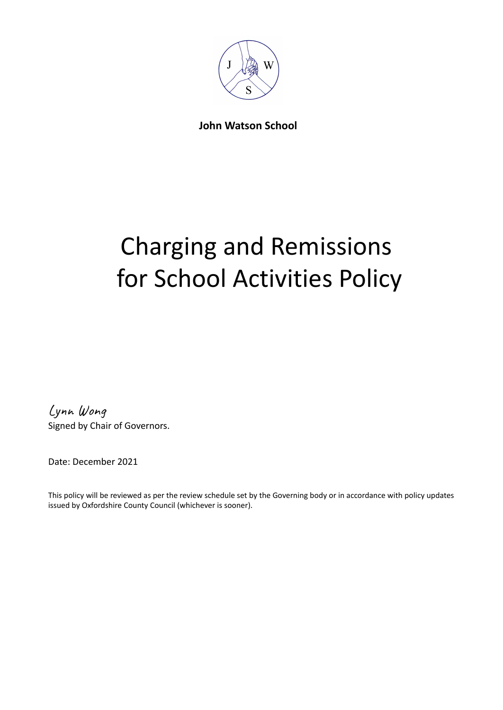

**John Watson School**

# Charging and Remissions for School Activities Policy

Lynn Wong Signed by Chair of Governors.

Date: December 2021

This policy will be reviewed as per the review schedule set by the Governing body or in accordance with policy updates issued by Oxfordshire County Council (whichever is sooner).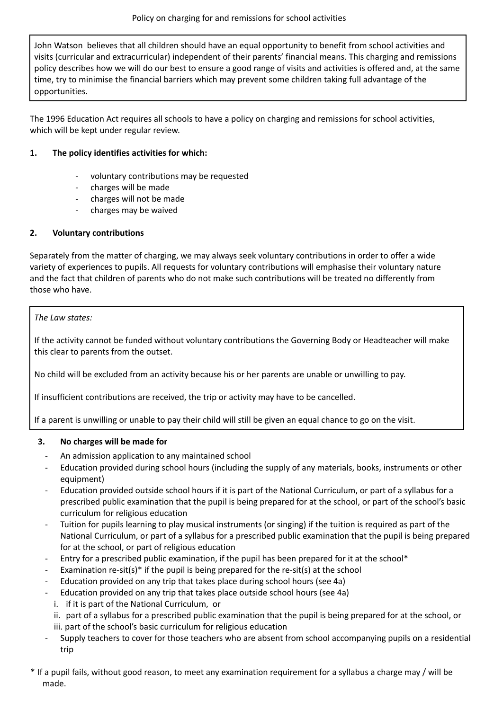John Watson believes that all children should have an equal opportunity to benefit from school activities and visits (curricular and extracurricular) independent of their parents' financial means. This charging and remissions policy describes how we will do our best to ensure a good range of visits and activities is offered and, at the same time, try to minimise the financial barriers which may prevent some children taking full advantage of the opportunities.

The 1996 Education Act requires all schools to have a policy on charging and remissions for school activities, which will be kept under regular review.

# **1. The policy identifies activities for which:**

- voluntary contributions may be requested
- charges will be made
- charges will not be made
- charges may be waived

# **2. Voluntary contributions**

Separately from the matter of charging, we may always seek voluntary contributions in order to offer a wide variety of experiences to pupils. All requests for voluntary contributions will emphasise their voluntary nature and the fact that children of parents who do not make such contributions will be treated no differently from those who have.

# *The Law states:*

If the activity cannot be funded without voluntary contributions the Governing Body or Headteacher will make this clear to parents from the outset.

No child will be excluded from an activity because his or her parents are unable or unwilling to pay.

If insufficient contributions are received, the trip or activity may have to be cancelled.

If a parent is unwilling or unable to pay their child will still be given an equal chance to go on the visit.

# **3. No charges will be made for**

- An admission application to any maintained school
- Education provided during school hours (including the supply of any materials, books, instruments or other equipment)
- Education provided outside school hours if it is part of the National Curriculum, or part of a syllabus for a prescribed public examination that the pupil is being prepared for at the school, or part of the school's basic curriculum for religious education
- Tuition for pupils learning to play musical instruments (or singing) if the tuition is required as part of the National Curriculum, or part of a syllabus for a prescribed public examination that the pupil is being prepared for at the school, or part of religious education
- Entry for a prescribed public examination, if the pupil has been prepared for it at the school\*
- Examination re-sit(s)<sup>\*</sup> if the pupil is being prepared for the re-sit(s) at the school
- Education provided on any trip that takes place during school hours (see 4a)
- Education provided on any trip that takes place outside school hours (see 4a)
	- i. if it is part of the National Curriculum, or
	- ii. part of a syllabus for a prescribed public examination that the pupil is being prepared for at the school, or iii. part of the school's basic curriculum for religious education
- Supply teachers to cover for those teachers who are absent from school accompanying pupils on a residential trip
- \* If a pupil fails, without good reason, to meet any examination requirement for a syllabus a charge may / will be made.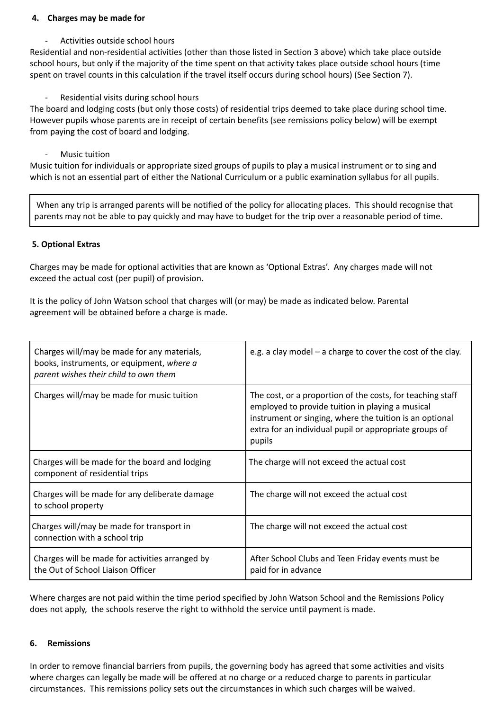#### **4. Charges may be made for**

Activities outside school hours

Residential and non-residential activities (other than those listed in Section 3 above) which take place outside school hours, but only if the majority of the time spent on that activity takes place outside school hours (time spent on travel counts in this calculation if the travel itself occurs during school hours) (See Section 7).

Residential visits during school hours

The board and lodging costs (but only those costs) of residential trips deemed to take place during school time. However pupils whose parents are in receipt of certain benefits (see remissions policy below) will be exempt from paying the cost of board and lodging.

Music tuition

Music tuition for individuals or appropriate sized groups of pupils to play a musical instrument or to sing and which is not an essential part of either the National Curriculum or a public examination syllabus for all pupils.

When any trip is arranged parents will be notified of the policy for allocating places. This should recognise that parents may not be able to pay quickly and may have to budget for the trip over a reasonable period of time.

# **5. Optional Extras**

Charges may be made for optional activities that are known as 'Optional Extras'. Any charges made will not exceed the actual cost (per pupil) of provision.

It is the policy of John Watson school that charges will (or may) be made as indicated below. Parental agreement will be obtained before a charge is made.

| Charges will/may be made for any materials,<br>books, instruments, or equipment, where a<br>parent wishes their child to own them | e.g. a clay model $-$ a charge to cover the cost of the clay.                                                                                                                                                                                 |
|-----------------------------------------------------------------------------------------------------------------------------------|-----------------------------------------------------------------------------------------------------------------------------------------------------------------------------------------------------------------------------------------------|
| Charges will/may be made for music tuition                                                                                        | The cost, or a proportion of the costs, for teaching staff<br>employed to provide tuition in playing a musical<br>instrument or singing, where the tuition is an optional<br>extra for an individual pupil or appropriate groups of<br>pupils |
| Charges will be made for the board and lodging<br>component of residential trips                                                  | The charge will not exceed the actual cost                                                                                                                                                                                                    |
| Charges will be made for any deliberate damage<br>to school property                                                              | The charge will not exceed the actual cost                                                                                                                                                                                                    |
| Charges will/may be made for transport in<br>connection with a school trip                                                        | The charge will not exceed the actual cost                                                                                                                                                                                                    |
| Charges will be made for activities arranged by<br>the Out of School Liaison Officer                                              | After School Clubs and Teen Friday events must be<br>paid for in advance                                                                                                                                                                      |

Where charges are not paid within the time period specified by John Watson School and the Remissions Policy does not apply, the schools reserve the right to withhold the service until payment is made.

#### **6. Remissions**

In order to remove financial barriers from pupils, the governing body has agreed that some activities and visits where charges can legally be made will be offered at no charge or a reduced charge to parents in particular circumstances. This remissions policy sets out the circumstances in which such charges will be waived.